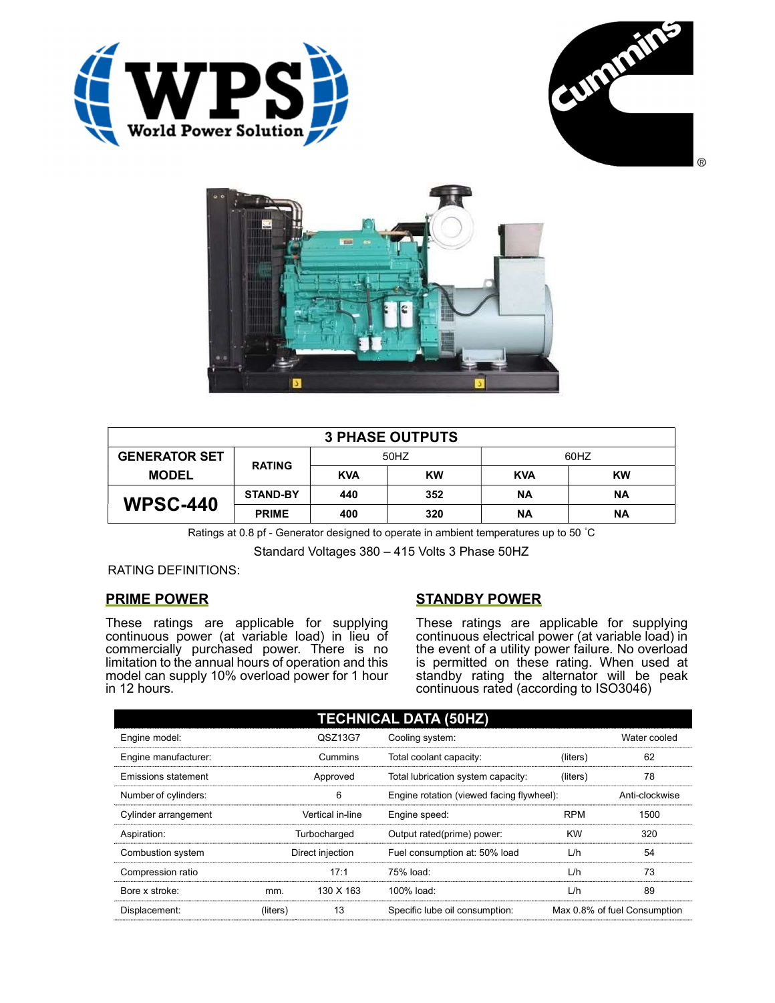





| <b>3 PHASE OUTPUTS</b> |                 |            |           |            |           |  |
|------------------------|-----------------|------------|-----------|------------|-----------|--|
| <b>GENERATOR SET</b>   | <b>RATING</b>   | 50HZ       |           | 60HZ       |           |  |
| <b>MODEL</b>           |                 | <b>KVA</b> | <b>KW</b> | <b>KVA</b> | <b>KW</b> |  |
| <b>WPSC-440</b>        | <b>STAND-BY</b> | 440        | 352       | ΝA         | ΝA        |  |
|                        | <b>PRIME</b>    | 400        | 320       | <b>NA</b>  | ΝA        |  |

Ratings at 0.8 pf - Generator designed to operate in ambient temperatures up to 50 °C

Standard Voltages 380 – 415 Volts 3 Phase 50HZ

## RATING DEFINITIONS:

## PRIME POWER

These ratings are applicable for supplying continuous power (at variable load) in lieu of commercially purchased power. There is no limitation to the annual hours of operation and this model can supply 10% overload power for 1 hour in 12 hours.

## STANDBY POWER

These ratings are applicable for supplying continuous electrical power (at variable load) in the event of a utility power failure. No overload is permitted on these rating. When used at standby rating the alternator will be peak continuous rated (according to ISO3046)

| <b>TECHNICAL DATA (50HZ)</b> |                  |           |                                           |            |                              |  |
|------------------------------|------------------|-----------|-------------------------------------------|------------|------------------------------|--|
| Engine model:                |                  | QSZ13G7   | Cooling system:                           |            | Water cooled                 |  |
| Engine manufacturer:         |                  | Cummins   | Total coolant capacity:                   | (liters)   | 62                           |  |
| Emissions statement          | Approved         |           | Total lubrication system capacity:        | (liters)   | 78                           |  |
| Number of cylinders:         | 6                |           | Engine rotation (viewed facing flywheel): |            | Anti-clockwise               |  |
| Cylinder arrangement         | Vertical in-line |           | Engine speed:                             | <b>RPM</b> | 1500                         |  |
| Aspiration:                  | Turbocharged     |           | Output rated(prime) power:                | <b>KW</b>  | 320                          |  |
| Combustion system            | Direct injection |           | Fuel consumption at: 50% load             | L/h        | 54                           |  |
| Compression ratio            |                  | 17:1      | 75% load:                                 | L/h        | 73                           |  |
| Bore x stroke:               | mm.              | 130 X 163 | 100% load:                                | L/h        | 89                           |  |
| Displacement:                | (liters)         | 13        | Specific lube oil consumption:            |            | Max 0.8% of fuel Consumption |  |